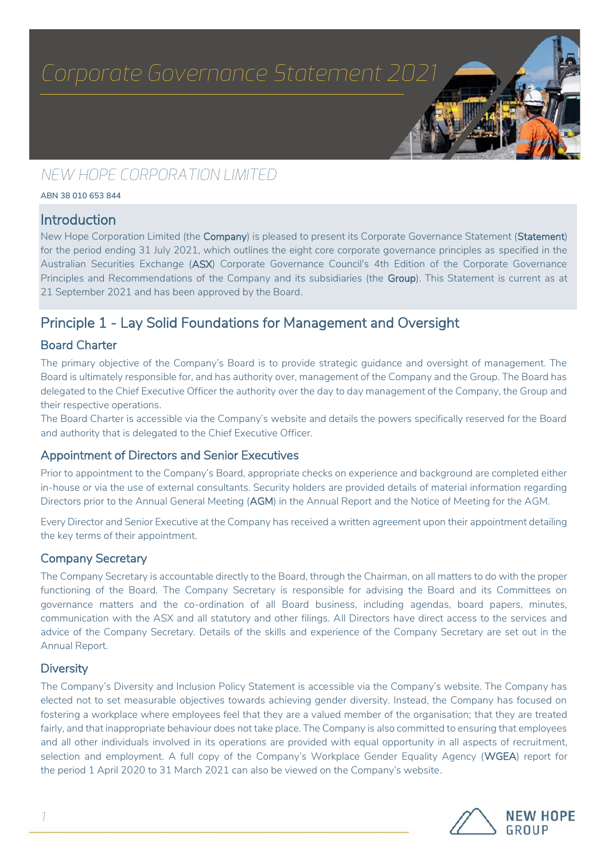# *NEW HOPE CORPORATION LIMITED*

**ABN 38 010 653 844**

### Introduction

New Hope Corporation Limited (the Company) is pleased to present its Corporate Governance Statement (Statement) for the period ending 31 July 2021, which outlines the eight core corporate governance principles as specified in the Australian Securities Exchange (ASX) Corporate Governance Council's 4th Edition of the Corporate Governance Principles and Recommendations of the Company and its subsidiaries (the Group). This Statement is current as at 21 September 2021 and has been approved by the Board.

## Principle 1 - Lay Solid Foundations for Management and Oversight

#### Board Charter

The primary objective of the Company's Board is to provide strategic guidance and oversight of management. The Board is ultimately responsible for, and has authority over, management of the Company and the Group. The Board has delegated to the Chief Executive Officer the authority over the day to day management of the Company, the Group and their respective operations.

The Board Charter is accessible via the Company's website and details the powers specifically reserved for the Board and authority that is delegated to the Chief Executive Officer.

#### Appointment of Directors and Senior Executives

Prior to appointment to the Company's Board, appropriate checks on experience and background are completed either in-house or via the use of external consultants. Security holders are provided details of material information regarding Directors prior to the Annual General Meeting (AGM) in the Annual Report and the Notice of Meeting for the AGM.

Every Director and Senior Executive at the Company has received a written agreement upon their appointment detailing the key terms of their appointment.

#### Company Secretary

The Company Secretary is accountable directly to the Board, through the Chairman, on all matters to do with the proper functioning of the Board. The Company Secretary is responsible for advising the Board and its Committees on governance matters and the co-ordination of all Board business, including agendas, board papers, minutes, communication with the ASX and all statutory and other filings. All Directors have direct access to the services and advice of the Company Secretary. Details of the skills and experience of the Company Secretary are set out in the Annual Report.

#### **Diversity**

The Company's Diversity and Inclusion Policy Statement is accessible via the Company's website. The Company has elected not to set measurable objectives towards achieving gender diversity. Instead, the Company has focused on fostering a workplace where employees feel that they are a valued member of the organisation; that they are treated fairly, and that inappropriate behaviour does not take place. The Company is also committed to ensuring that employees and all other individuals involved in its operations are provided with equal opportunity in all aspects of recruitment, selection and employment. A full copy of the Company's Workplace Gender Equality Agency (WGEA) report for the period 1 April 2020 to 31 March 2021 can also be viewed on the Company's website.

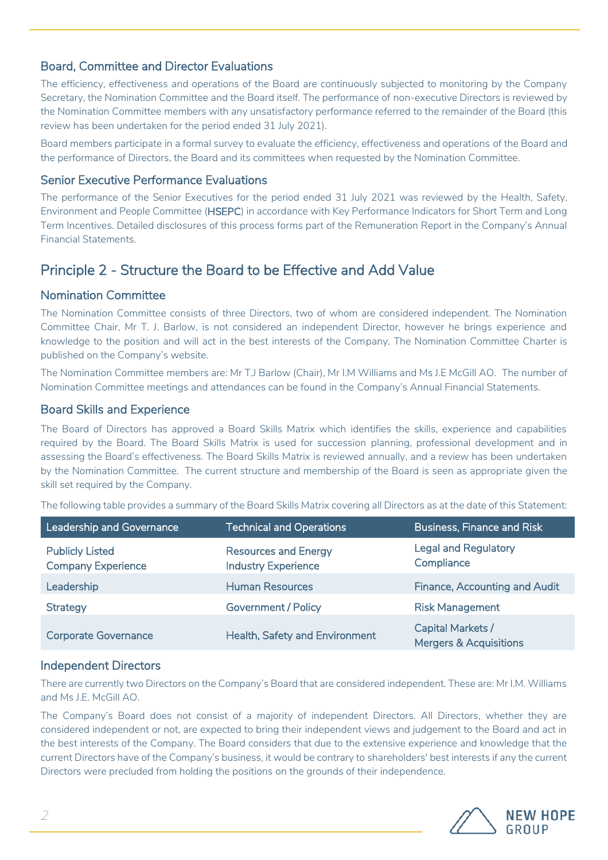#### Board, Committee and Director Evaluations

The efficiency, effectiveness and operations of the Board are continuously subjected to monitoring by the Company Secretary, the Nomination Committee and the Board itself. The performance of non-executive Directors is reviewed by the Nomination Committee members with any unsatisfactory performance referred to the remainder of the Board (this review has been undertaken for the period ended 31 July 2021).

Board members participate in a formal survey to evaluate the efficiency, effectiveness and operations of the Board and the performance of Directors, the Board and its committees when requested by the Nomination Committee.

#### Senior Executive Performance Evaluations

The performance of the Senior Executives for the period ended 31 July 2021 was reviewed by the Health, Safety, Environment and People Committee (HSEPC) in accordance with Key Performance Indicators for Short Term and Long Term Incentives. Detailed disclosures of this process forms part of the Remuneration Report in the Company's Annual Financial Statements.

## Principle 2 - Structure the Board to be Effective and Add Value

#### Nomination Committee

The Nomination Committee consists of three Directors, two of whom are considered independent. The Nomination Committee Chair, Mr T. J. Barlow, is not considered an independent Director, however he brings experience and knowledge to the position and will act in the best interests of the Company. The Nomination Committee Charter is published on the Company's website.

The Nomination Committee members are: Mr T.J Barlow (Chair), Mr I.M Williams and Ms J.E McGill AO. The number of Nomination Committee meetings and attendances can be found in the Company's Annual Financial Statements.

#### Board Skills and Experience

The Board of Directors has approved a Board Skills Matrix which identifies the skills, experience and capabilities required by the Board. The Board Skills Matrix is used for succession planning, professional development and in assessing the Board's effectiveness. The Board Skills Matrix is reviewed annually, and a review has been undertaken by the Nomination Committee. The current structure and membership of the Board is seen as appropriate given the skill set required by the Company.

The following table provides a summary of the Board Skills Matrix covering all Directors as at the date of this Statement:

| Leadership and Governance                           | <b>Technical and Operations</b>                           | <b>Business, Finance and Risk</b>                      |
|-----------------------------------------------------|-----------------------------------------------------------|--------------------------------------------------------|
| <b>Publicly Listed</b><br><b>Company Experience</b> | <b>Resources and Energy</b><br><b>Industry Experience</b> | <b>Legal and Regulatory</b><br>Compliance              |
| Leadership                                          | <b>Human Resources</b>                                    | <b>Finance, Accounting and Audit</b>                   |
| <b>Strategy</b>                                     | <b>Government / Policy</b>                                | <b>Risk Management</b>                                 |
| <b>Corporate Governance</b>                         | Health, Safety and Environment                            | Capital Markets /<br><b>Mergers &amp; Acquisitions</b> |

#### Independent Directors

There are currently two Directors on the Company's Board that are considered independent. These are: Mr I.M. Williams and Ms J.E. McGill AO.

The Company's Board does not consist of a majority of independent Directors. All Directors, whether they are considered independent or not, are expected to bring their independent views and judgement to the Board and act in the best interests of the Company. The Board considers that due to the extensive experience and knowledge that the current Directors have of the Company's business, it would be contrary to shareholders' best interests if any the current Directors were precluded from holding the positions on the grounds of their independence.

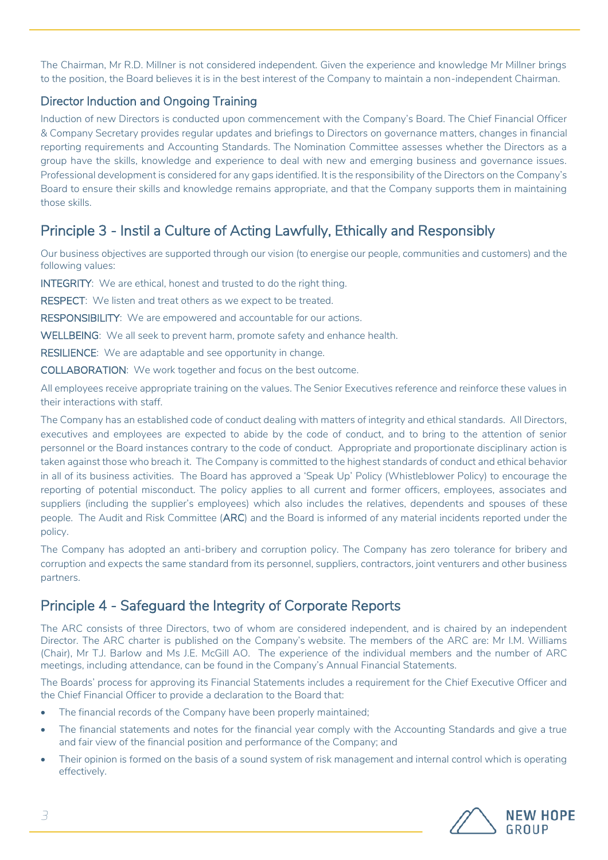The Chairman, Mr R.D. Millner is not considered independent. Given the experience and knowledge Mr Millner brings to the position, the Board believes it is in the best interest of the Company to maintain a non-independent Chairman.

#### Director Induction and Ongoing Training

Induction of new Directors is conducted upon commencement with the Company's Board. The Chief Financial Officer & Company Secretary provides regular updates and briefings to Directors on governance matters, changes in financial reporting requirements and Accounting Standards. The Nomination Committee assesses whether the Directors as a group have the skills, knowledge and experience to deal with new and emerging business and governance issues. Professional development is considered for any gaps identified. It is the responsibility of the Directors on the Company's Board to ensure their skills and knowledge remains appropriate, and that the Company supports them in maintaining those skills.

## Principle 3 - Instil a Culture of Acting Lawfully, Ethically and Responsibly

Our business objectives are supported through our vision (to energise our people, communities and customers) and the following values:

INTEGRITY: We are ethical, honest and trusted to do the right thing.

RESPECT: We listen and treat others as we expect to be treated.

RESPONSIBILITY: We are empowered and accountable for our actions.

WELLBEING: We all seek to prevent harm, promote safety and enhance health.

RESILIENCE: We are adaptable and see opportunity in change.

COLLABORATION: We work together and focus on the best outcome.

All employees receive appropriate training on the values. The Senior Executives reference and reinforce these values in their interactions with staff.

The Company has an established code of conduct dealing with matters of integrity and ethical standards. All Directors, executives and employees are expected to abide by the code of conduct, and to bring to the attention of senior personnel or the Board instances contrary to the code of conduct. Appropriate and proportionate disciplinary action is taken against those who breach it. The Company is committed to the highest standards of conduct and ethical behavior in all of its business activities. The Board has approved a 'Speak Up' Policy (Whistleblower Policy) to encourage the reporting of potential misconduct. The policy applies to all current and former officers, employees, associates and suppliers (including the supplier's employees) which also includes the relatives, dependents and spouses of these people. The Audit and Risk Committee (ARC) and the Board is informed of any material incidents reported under the policy.

The Company has adopted an anti-bribery and corruption policy. The Company has zero tolerance for bribery and corruption and expects the same standard from its personnel, suppliers, contractors, joint venturers and other business partners.

## Principle 4 - Safeguard the Integrity of Corporate Reports

The ARC consists of three Directors, two of whom are considered independent, and is chaired by an independent Director. The ARC charter is published on the Company's website. The members of the ARC are: Mr I.M. Williams (Chair), Mr T.J. Barlow and Ms J.E. McGill AO. The experience of the individual members and the number of ARC meetings, including attendance, can be found in the Company's Annual Financial Statements.

The Boards' process for approving its Financial Statements includes a requirement for the Chief Executive Officer and the Chief Financial Officer to provide a declaration to the Board that:

- The financial records of the Company have been properly maintained;
- The financial statements and notes for the financial year comply with the Accounting Standards and give a true and fair view of the financial position and performance of the Company; and
- Their opinion is formed on the basis of a sound system of risk management and internal control which is operating effectively.

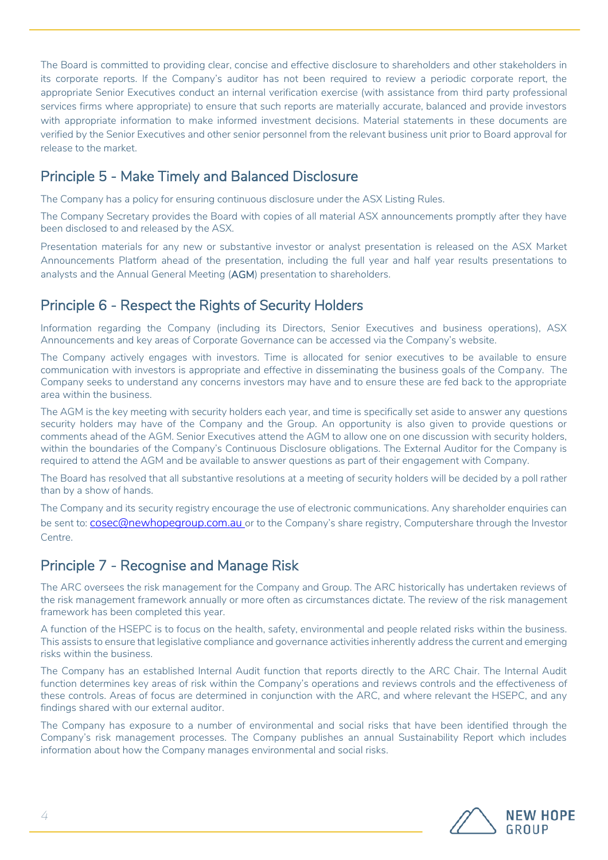The Board is committed to providing clear, concise and effective disclosure to shareholders and other stakeholders in its corporate reports. If the Company's auditor has not been required to review a periodic corporate report, the appropriate Senior Executives conduct an internal verification exercise (with assistance from third party professional services firms where appropriate) to ensure that such reports are materially accurate, balanced and provide investors with appropriate information to make informed investment decisions. Material statements in these documents are verified by the Senior Executives and other senior personnel from the relevant business unit prior to Board approval for release to the market.

## Principle 5 - Make Timely and Balanced Disclosure

The Company has a policy for ensuring continuous disclosure under the ASX Listing Rules.

The Company Secretary provides the Board with copies of all material ASX announcements promptly after they have been disclosed to and released by the ASX.

Presentation materials for any new or substantive investor or analyst presentation is released on the ASX Market Announcements Platform ahead of the presentation, including the full year and half year results presentations to analysts and the Annual General Meeting (AGM) presentation to shareholders.

## Principle 6 - Respect the Rights of Security Holders

Information regarding the Company (including its Directors, Senior Executives and business operations), ASX Announcements and key areas of Corporate Governance can be accessed via the Company's website.

The Company actively engages with investors. Time is allocated for senior executives to be available to ensure communication with investors is appropriate and effective in disseminating the business goals of the Company. The Company seeks to understand any concerns investors may have and to ensure these are fed back to the appropriate area within the business.

The AGM is the key meeting with security holders each year, and time is specifically set aside to answer any questions security holders may have of the Company and the Group. An opportunity is also given to provide questions or comments ahead of the AGM. Senior Executives attend the AGM to allow one on one discussion with security holders, within the boundaries of the Company's Continuous Disclosure obligations. The External Auditor for the Company is required to attend the AGM and be available to answer questions as part of their engagement with Company.

The Board has resolved that all substantive resolutions at a meeting of security holders will be decided by a poll rather than by a show of hands.

The Company and its security registry encourage the use of electronic communications. Any shareholder enquiries can be sent to: **[cosec@newhopegroup.com.au](mailto:cosec@newhopegroup.com.au)** or to the Company's share registry, Computershare through the Investor Centre.

## Principle 7 - Recognise and Manage Risk

The ARC oversees the risk management for the Company and Group. The ARC historically has undertaken reviews of the risk management framework annually or more often as circumstances dictate. The review of the risk management framework has been completed this year.

A function of the HSEPC is to focus on the health, safety, environmental and people related risks within the business. This assists to ensure that legislative compliance and governance activities inherently address the current and emerging risks within the business.

The Company has an established Internal Audit function that reports directly to the ARC Chair. The Internal Audit function determines key areas of risk within the Company's operations and reviews controls and the effectiveness of these controls. Areas of focus are determined in conjunction with the ARC, and where relevant the HSEPC, and any findings shared with our external auditor.

The Company has exposure to a number of environmental and social risks that have been identified through the Company's risk management processes. The Company publishes an annual Sustainability Report which includes information about how the Company manages environmental and social risks.